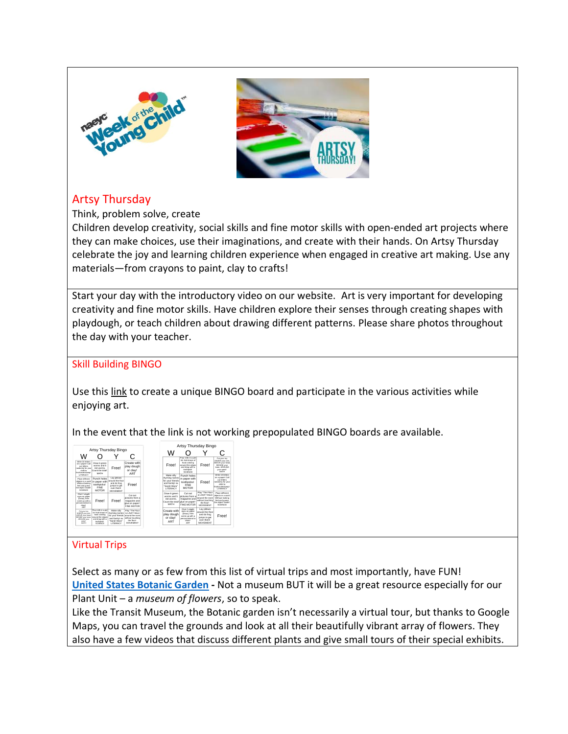



## Artsy Thursday

Think, problem solve, create

Children develop creativity, social skills and fine motor skills with open-ended art projects where they can make choices, use their imaginations, and create with their hands. On Artsy Thursday celebrate the joy and learning children experience when engaged in creative art making. Use any materials—from crayons to paint, clay to crafts!

Start your day with the introductory video on our website. Art is very important for developing creativity and fine motor skills. Have children explore their senses through creating shapes with playdough, or teach children about drawing different patterns. Please share photos throughout the day with your teacher.

## Skill Building BINGO

Use this [link](http://bingobaker.com/play/3023319) to create a unique BINGO board and participate in the various activities while enjoying art.

In the event that the link is not working prepopulated BINGO boards are available.

|                                                                                                                                |                                                                                                                                 |                                                                                          |                                                                                                   |                                                                                                       | Artsy Thursday Bingo                                                                                                     |                                                                                                     |                                                                                                                          |  |
|--------------------------------------------------------------------------------------------------------------------------------|---------------------------------------------------------------------------------------------------------------------------------|------------------------------------------------------------------------------------------|---------------------------------------------------------------------------------------------------|-------------------------------------------------------------------------------------------------------|--------------------------------------------------------------------------------------------------------------------------|-----------------------------------------------------------------------------------------------------|--------------------------------------------------------------------------------------------------------------------------|--|
| w                                                                                                                              | Artsy Thursday Bingo                                                                                                            |                                                                                          |                                                                                                   | W                                                                                                     |                                                                                                                          |                                                                                                     |                                                                                                                          |  |
| Write 10 letters<br>on a paper! Call<br>out letters<br>randomly for your<br>child to<br>find/decla/atamp?                      | Draw 6 green<br>where and 5<br>connection has<br>Count the total!<br><b>MATH</b>                                                | Free!                                                                                    | Create with<br>play dough<br>or clav!<br>ART                                                      | Free!                                                                                                 | Pour milk in a pie<br>tin! Add drops of<br>food coloring<br>around the edges<br>and drag with a<br>tootheickl<br>SCIENCE | Free!                                                                                               | Put your toy<br>UNDER your arm.<br>ABOVE your head.<br><b>BESIDE your</b><br>knee, AROUND<br>your waist!<br>MATH         |  |
| LITERACY<br><b>Disco different</b><br>objects in a sock?<br>Without looking<br>feel and quess<br>the object inside!<br>SCIENCE | Punch holes<br>in paper with<br>toothoicks!<br><b>FINE</b><br><b>MOTOR</b>                                                      | Lay pillows<br>around the floor<br>and do frog<br>jumps to get<br>over them!<br>MOVEMENT | Free!                                                                                             | Make silly<br>rhyming names<br>for your friends.<br>and family! ex<br>"Sarah Wara"<br><b>LITERACY</b> | Punch holes<br>in paper with<br>toothpicks!<br><b>FINE</b><br><b>MOTOR</b>                                               | Free!                                                                                               | Write 10 letters<br>on a paper! Call<br>out letters<br>randomly for your<br>ehibit tes<br>find/circle/stamp!<br>LITERACY |  |
| Glue 2 widdle<br>eves on paper<br>(Dona), then<br>come up with a<br>person/animal to<br><b>House!</b><br><b>ART</b>            | Free!                                                                                                                           | Free!                                                                                    | Cut out<br>nictures from a<br>magazine and<br>glue on paper!<br>FINE MOTOR                        | Draw 6 green<br>worms and 5<br>red worms<br>Count the total!<br><b>MATH</b>                           | Cutout<br>pictures from a<br>magazine and<br>glue on paper!<br><b>FINE MOTOR</b>                                         | Play "The Floor<br>is LAVA'! Move<br>around the room.<br>without touching<br>the floor!<br>MOVEMENT | Plane different<br>objects in a sock!<br>Without looking<br>feel and quess<br>the object inside!<br>SCIENCE              |  |
| Put your tow<br>UNDER your arm.<br>ABOVE your head.<br>RESIDE your knee<br>AROUND your<br>waist<br>MATH                        | Pour milk in a pie<br>tinf Add drops of<br>food coloring<br>around the edges<br>and drag with a<br>toothoick!<br><b>SCIENCE</b> | Make silly<br>rhyming names is LAVA'l Move<br>and family! ex<br>'Sarah Wara'<br>LITERACY | Play "The Floor<br>for your friends around the room<br>without touching<br>the floor!<br>MOVEMENT | Create with<br>play dough<br>or clav!<br>ART                                                          | Glue 2 winds<br>eyes on paper<br>(Draw), then<br>come up with a<br>person/animal to<br>drawf<br><b>ART</b>               | Lay pillows<br>around the finns<br>and do frog<br>jumos to get<br>over them!<br><b>MOVEMENT</b>     | Free!                                                                                                                    |  |

 $\overline{a}$ 

## Virtual Trips

Select as many or as few from this list of virtual trips and most importantly, have FUN! **[United States Botanic Garden](https://www.usbg.gov/take-virtual-tour) -** Not a museum BUT it will be a great resource especially for our Plant Unit – a *museum of flowers*, so to speak.

Like the Transit Museum, the Botanic garden isn't necessarily a virtual tour, but thanks to Google Maps, you can travel the grounds and look at all their beautifully vibrant array of flowers. They also have a few videos that discuss different plants and give small tours of their special exhibits.